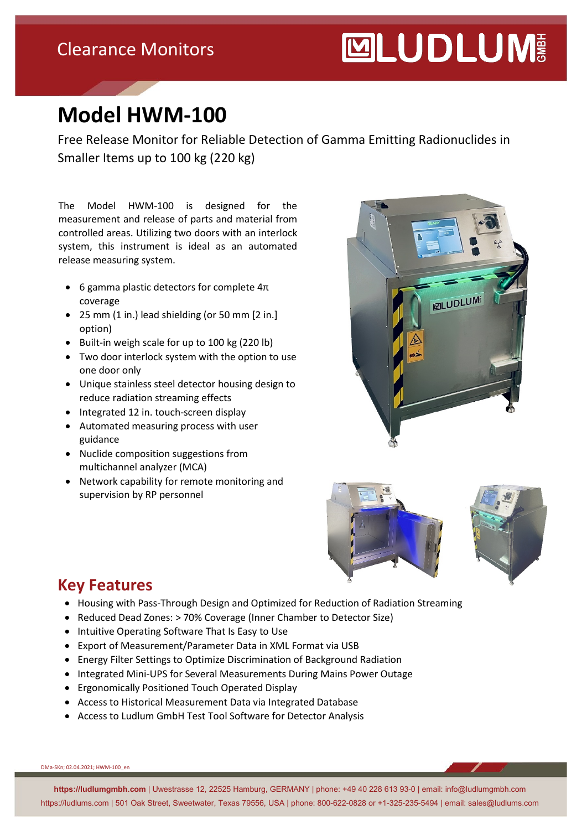### Clearance Monitors

# **MUDLUM**

# **Model HWM-100**

Free Release Monitor for Reliable Detection of Gamma Emitting Radionuclides in Smaller Items up to 100 kg (220 kg)

The Model HWM-100 is designed for the measurement and release of parts and material from controlled areas. Utilizing two doors with an interlock system, this instrument is ideal as an automated release measuring system.

- 6 gamma plastic detectors for complete  $4\pi$ coverage
- 25 mm (1 in.) lead shielding (or 50 mm [2 in.] option)
- Built-in weigh scale for up to 100 kg (220 lb)
- Two door interlock system with the option to use one door only
- Unique stainless steel detector housing design to reduce radiation streaming effects
- Integrated 12 in. touch-screen display
- Automated measuring process with user guidance
- Nuclide composition suggestions from multichannel analyzer (MCA)
- Network capability for remote monitoring and supervision by RP personnel





#### **Key Features**

- Housing with Pass-Through Design and Optimized for Reduction of Radiation Streaming
- Reduced Dead Zones: > 70% Coverage (Inner Chamber to Detector Size)
- Intuitive Operating Software That Is Easy to Use
- Export of Measurement/Parameter Data in XML Format via USB
- Energy Filter Settings to Optimize Discrimination of Background Radiation
- Integrated Mini-UPS for Several Measurements During Mains Power Outage
- Ergonomically Positioned Touch Operated Display
- Access to Historical Measurement Data via Integrated Database
- Access to Ludlum GmbH Test Tool Software for Detector Analysis

DMa-SKn; 02.04.2021; HWM-100\_en

**https://ludlumgmbh.com** | Uwestrasse 12, 22525 Hamburg, GERMANY | phone: +49 40 228 613 93-0 | email: info@ludlumgmbh.com https://ludlums.com | 501 Oak Street, Sweetwater, Texas 79556, USA | phone: 800-622-0828 or +1-325-235-5494 | email: sales@ludlums.com